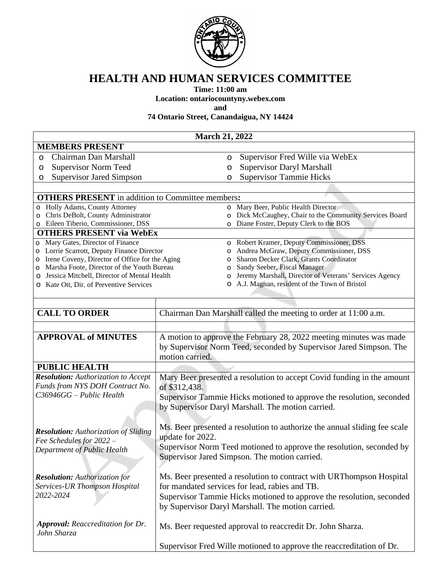

## **HEALTH AND HUMAN SERVICES COMMITTEE**

**Time: 11:00 am**

**Location: ontariocountyny.webex.com**

**and**

**74 Ontario Street, Canandaigua, NY 14424**

|                                                         | <b>March 21, 2022</b>                                                     |
|---------------------------------------------------------|---------------------------------------------------------------------------|
| <b>MEMBERS PRESENT</b>                                  |                                                                           |
| Chairman Dan Marshall<br>O                              | Supervisor Fred Wille via WebEx<br>O                                      |
| <b>Supervisor Norm Teed</b><br>O                        | <b>Supervisor Daryl Marshall</b><br>O                                     |
| <b>Supervisor Jared Simpson</b><br>O                    | <b>Supervisor Tammie Hicks</b><br>O                                       |
|                                                         |                                                                           |
| <b>OTHERS PRESENT</b> in addition to Committee members: |                                                                           |
| Holly Adams, County Attorney<br>$\circ$                 | o Mary Beer, Public Health Director                                       |
| Chris DeBolt, County Administrator<br>O                 | o Dick McCaughey, Chair to the Community Services Board                   |
| Eileen Tiberio, Commissioner, DSS<br>O                  | Diane Foster, Deputy Clerk to the BOS                                     |
| <b>OTHERS PRESENT via WebEx</b>                         |                                                                           |
| Mary Gates, Director of Finance<br>$\circ$              | o Robert Kramer, Deputy Commissioner, DSS                                 |
| Lorrie Scarrott, Deputy Finance Director<br>O           | Andrea McGraw, Deputy Commissioner, DSS<br>$\circ$                        |
| Irene Coveny, Director of Office for the Aging<br>O     | Sharon Decker Clark, Grants Coordinator<br>$\circ$                        |
| Marsha Foote, Director of the Youth Bureau<br>O         | Sandy Seeber, Fiscal Manager<br>O                                         |
| Jessica Mitchell, Director of Mental Health<br>O        | Jeremy Marshall, Director of Veterans' Services Agency<br>$\circ$         |
| Kate Ott, Dir. of Preventive Services<br>$\circ$        | A.J. Magnan, resident of the Town of Bristol<br>$\circ$                   |
|                                                         |                                                                           |
|                                                         |                                                                           |
| <b>CALL TO ORDER</b>                                    | Chairman Dan Marshall called the meeting to order at 11:00 a.m.           |
|                                                         |                                                                           |
| <b>APPROVAL of MINUTES</b>                              | A motion to approve the February 28, 2022 meeting minutes was made        |
|                                                         | by Supervisor Norm Teed, seconded by Supervisor Jared Simpson. The        |
|                                                         | motion carried.                                                           |
| <b>PUBLIC HEALTH</b>                                    |                                                                           |
| <b>Resolution:</b> Authorization to Accept              | Mary Beer presented a resolution to accept Covid funding in the amount    |
| Funds from NYS DOH Contract No.                         |                                                                           |
| $C36946GG - Public Health$                              | of \$312,438.                                                             |
|                                                         | Supervisor Tammie Hicks motioned to approve the resolution, seconded      |
|                                                         | by Supervisor Daryl Marshall. The motion carried.                         |
|                                                         |                                                                           |
| <b>Resolution:</b> Authorization of Sliding             | Ms. Beer presented a resolution to authorize the annual sliding fee scale |
| Fee Schedules for 2022 -                                | update for 2022.                                                          |
| Department of Public Health                             | Supervisor Norm Teed motioned to approve the resolution, seconded by      |
|                                                         | Supervisor Jared Simpson. The motion carried.                             |
|                                                         |                                                                           |
| <b>Resolution:</b> Authorization for                    | Ms. Beer presented a resolution to contract with URThompson Hospital      |
| Services-UR Thompson Hospital                           | for mandated services for lead, rabies and TB.                            |
| 2022-2024                                               |                                                                           |
|                                                         | Supervisor Tammie Hicks motioned to approve the resolution, seconded      |
| by Supervisor Daryl Marshall. The motion carried.       |                                                                           |
|                                                         |                                                                           |
| <b>Approval:</b> Reaccreditation for Dr.<br>John Sharza | Ms. Beer requested approval to reaccredit Dr. John Sharza.                |
|                                                         |                                                                           |
|                                                         | Supervisor Fred Wille motioned to approve the reaccreditation of Dr.      |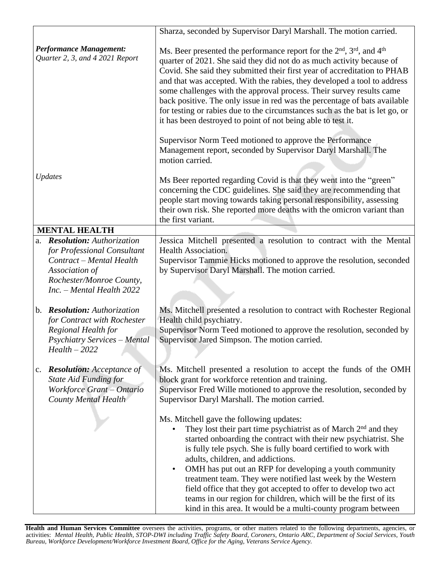|                                                                                                                                                                              | Sharza, seconded by Supervisor Daryl Marshall. The motion carried.                                                                                                                                                                                                                                                                                                                                                                                                                                                                                                                                                                                |
|------------------------------------------------------------------------------------------------------------------------------------------------------------------------------|---------------------------------------------------------------------------------------------------------------------------------------------------------------------------------------------------------------------------------------------------------------------------------------------------------------------------------------------------------------------------------------------------------------------------------------------------------------------------------------------------------------------------------------------------------------------------------------------------------------------------------------------------|
| <b>Performance Management:</b><br>Quarter 2, 3, and 4 2021 Report                                                                                                            | Ms. Beer presented the performance report for the 2 <sup>nd</sup> , 3 <sup>rd</sup> , and 4 <sup>th</sup><br>quarter of 2021. She said they did not do as much activity because of<br>Covid. She said they submitted their first year of accreditation to PHAB<br>and that was accepted. With the rabies, they developed a tool to address<br>some challenges with the approval process. Their survey results came<br>back positive. The only issue in red was the percentage of bats available<br>for testing or rabies due to the circumstances such as the bat is let go, or<br>it has been destroyed to point of not being able to test it.   |
|                                                                                                                                                                              | Supervisor Norm Teed motioned to approve the Performance<br>Management report, seconded by Supervisor Daryl Marshall. The<br>motion carried.                                                                                                                                                                                                                                                                                                                                                                                                                                                                                                      |
| <b>Updates</b>                                                                                                                                                               | Ms Beer reported regarding Covid is that they went into the "green"<br>concerning the CDC guidelines. She said they are recommending that<br>people start moving towards taking personal responsibility, assessing<br>their own risk. She reported more deaths with the omicron variant than<br>the first variant.                                                                                                                                                                                                                                                                                                                                |
| <b>MENTAL HEALTH</b>                                                                                                                                                         |                                                                                                                                                                                                                                                                                                                                                                                                                                                                                                                                                                                                                                                   |
| <b>Resolution:</b> Authorization<br>a.<br>for Professional Consultant<br>Contract - Mental Health<br>Association of<br>Rochester/Monroe County,<br>Inc. - Mental Health 2022 | Jessica Mitchell presented a resolution to contract with the Mental<br>Health Association.<br>Supervisor Tammie Hicks motioned to approve the resolution, seconded<br>by Supervisor Daryl Marshall. The motion carried.                                                                                                                                                                                                                                                                                                                                                                                                                           |
| b. Resolution: Authorization<br>for Contract with Rochester<br>Regional Health for<br><b>Psychiatry Services - Mental</b><br>$Health - 2022$                                 | Ms. Mitchell presented a resolution to contract with Rochester Regional<br>Health child psychiatry.<br>Supervisor Norm Teed motioned to approve the resolution, seconded by<br>Supervisor Jared Simpson. The motion carried.                                                                                                                                                                                                                                                                                                                                                                                                                      |
| c. <b>Resolution:</b> Acceptance of<br><b>State Aid Funding for</b><br>Workforce Grant - Ontario<br><b>County Mental Health</b>                                              | Ms. Mitchell presented a resolution to accept the funds of the OMH<br>block grant for workforce retention and training.<br>Supervisor Fred Wille motioned to approve the resolution, seconded by<br>Supervisor Daryl Marshall. The motion carried.                                                                                                                                                                                                                                                                                                                                                                                                |
|                                                                                                                                                                              | Ms. Mitchell gave the following updates:<br>They lost their part time psychiatrist as of March 2 <sup>nd</sup> and they<br>started onboarding the contract with their new psychiatrist. She<br>is fully tele psych. She is fully board certified to work with<br>adults, children, and addictions.<br>OMH has put out an RFP for developing a youth community<br>$\bullet$<br>treatment team. They were notified last week by the Western<br>field office that they got accepted to offer to develop two act<br>teams in our region for children, which will be the first of its<br>kind in this area. It would be a multi-county program between |

**Health and Human Services Committee** oversees the activities, programs, or other matters related to the following departments, agencies, or activities: Mental Health, Public Health, STOP-DWI including Traffic Safety Board, Coroners, Ontario ARC, Department of Social Services, Youth *Bureau, Workforce Development/Workforce Investment Board, Office for the Aging, Veterans Service Agency.*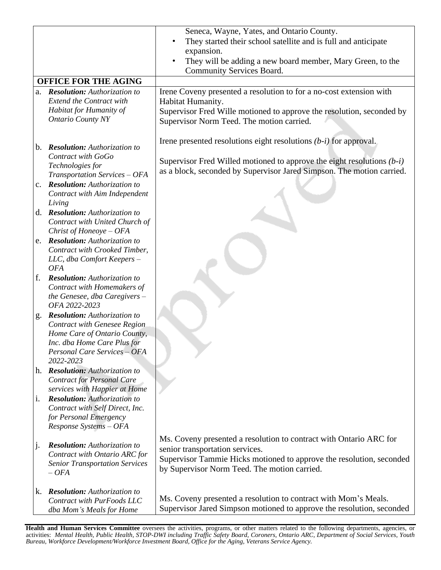|                |                                                                    | Seneca, Wayne, Yates, and Ontario County.                                |
|----------------|--------------------------------------------------------------------|--------------------------------------------------------------------------|
|                |                                                                    | They started their school satellite and is full and anticipate           |
|                |                                                                    | expansion.                                                               |
|                |                                                                    | They will be adding a new board member, Mary Green, to the               |
|                |                                                                    | Community Services Board.                                                |
|                | <b>OFFICE FOR THE AGING</b>                                        |                                                                          |
|                | a. Resolution: Authorization to                                    | Irene Coveny presented a resolution to for a no-cost extension with      |
|                | <b>Extend the Contract with</b>                                    | Habitat Humanity.                                                        |
|                | Habitat for Humanity of                                            | Supervisor Fred Wille motioned to approve the resolution, seconded by    |
|                | <b>Ontario County NY</b>                                           | Supervisor Norm Teed. The motion carried.                                |
|                |                                                                    |                                                                          |
|                |                                                                    | Irene presented resolutions eight resolutions $(b-i)$ for approval.      |
|                | b. Resolution: Authorization to<br>Contract with GoGo              |                                                                          |
|                | Technologies for                                                   | Supervisor Fred Willed motioned to approve the eight resolutions $(b-i)$ |
|                | Transportation Services - OFA                                      | as a block, seconded by Supervisor Jared Simpson. The motion carried.    |
|                | <b>Resolution:</b> Authorization to                                |                                                                          |
|                | Contract with Aim Independent                                      |                                                                          |
|                | Living                                                             |                                                                          |
|                | d. Resolution: Authorization to                                    |                                                                          |
|                | Contract with United Church of                                     |                                                                          |
|                | Christ of Honeoye $-$ OFA                                          |                                                                          |
|                | e. Resolution: Authorization to                                    |                                                                          |
|                | Contract with Crooked Timber,                                      |                                                                          |
|                | LLC, dba Comfort Keepers -                                         |                                                                          |
|                | <b>OFA</b>                                                         |                                                                          |
| f.             | <b>Resolution:</b> Authorization to<br>Contract with Homemakers of |                                                                          |
|                | the Genesee, dba Caregivers -                                      |                                                                          |
|                | OFA 2022-2023                                                      |                                                                          |
| g.             | <b>Resolution:</b> Authorization to                                |                                                                          |
|                | <b>Contract with Genesee Region</b>                                |                                                                          |
|                | Home Care of Ontario County,                                       |                                                                          |
|                | Inc. dba Home Care Plus for                                        |                                                                          |
|                | Personal Care Services - OFA                                       |                                                                          |
|                | 2022-2023                                                          |                                                                          |
|                | h. Resolution: Authorization to                                    |                                                                          |
|                | <b>Contract for Personal Care</b><br>services with Happier at Home |                                                                          |
| $\mathbf{1}$ . | <b>Resolution:</b> Authorization to                                |                                                                          |
|                | Contract with Self Direct, Inc.                                    |                                                                          |
|                | for Personal Emergency                                             |                                                                          |
|                | Response Systems - OFA                                             |                                                                          |
|                |                                                                    | Ms. Coveny presented a resolution to contract with Ontario ARC for       |
| $\mathbf{j}$ . | <b>Resolution:</b> Authorization to                                | senior transportation services.                                          |
|                | Contract with Ontario ARC for                                      | Supervisor Tammie Hicks motioned to approve the resolution, seconded     |
|                | <b>Senior Transportation Services</b>                              | by Supervisor Norm Teed. The motion carried.                             |
|                | $-$ OFA                                                            |                                                                          |
| k.             | <b>Resolution:</b> Authorization to                                |                                                                          |
|                | Contract with PurFoods LLC                                         | Ms. Coveny presented a resolution to contract with Mom's Meals.          |
|                | dba Mom's Meals for Home                                           | Supervisor Jared Simpson motioned to approve the resolution, seconded    |

**Health and Human Services Committee** oversees the activities, programs, or other matters related to the following departments, agencies, or activities: Mental Health, Public Health, STOP-DWI including Traffic Safety Board, Coroners, Ontario ARC, Department of Social Services, Youth *Bureau, Workforce Development/Workforce Investment Board, Office for the Aging, Veterans Service Agency.*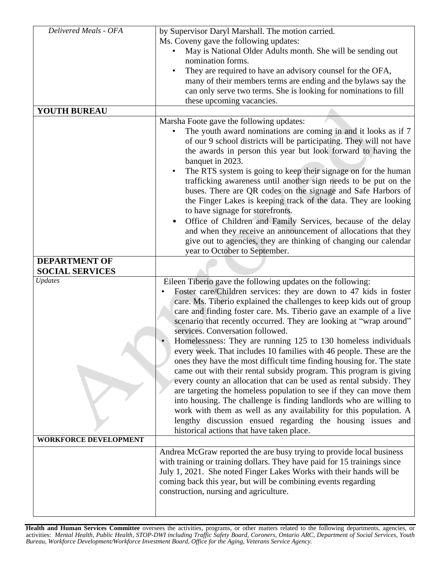| Delivered Meals - OFA        | by Supervisor Daryl Marshall. The motion carried.                                                                                                                                                                                                                                                                                                                                                                                                                                                                                                                                                                                                                                        |
|------------------------------|------------------------------------------------------------------------------------------------------------------------------------------------------------------------------------------------------------------------------------------------------------------------------------------------------------------------------------------------------------------------------------------------------------------------------------------------------------------------------------------------------------------------------------------------------------------------------------------------------------------------------------------------------------------------------------------|
|                              | Ms. Coveny gave the following updates:                                                                                                                                                                                                                                                                                                                                                                                                                                                                                                                                                                                                                                                   |
|                              | May is National Older Adults month. She will be sending out                                                                                                                                                                                                                                                                                                                                                                                                                                                                                                                                                                                                                              |
|                              | nomination forms.                                                                                                                                                                                                                                                                                                                                                                                                                                                                                                                                                                                                                                                                        |
|                              | They are required to have an advisory counsel for the OFA,<br>$\bullet$                                                                                                                                                                                                                                                                                                                                                                                                                                                                                                                                                                                                                  |
|                              | many of their members terms are ending and the bylaws say the                                                                                                                                                                                                                                                                                                                                                                                                                                                                                                                                                                                                                            |
|                              | can only serve two terms. She is looking for nominations to fill                                                                                                                                                                                                                                                                                                                                                                                                                                                                                                                                                                                                                         |
|                              | these upcoming vacancies.                                                                                                                                                                                                                                                                                                                                                                                                                                                                                                                                                                                                                                                                |
| <b>YOUTH BUREAU</b>          |                                                                                                                                                                                                                                                                                                                                                                                                                                                                                                                                                                                                                                                                                          |
|                              | Marsha Foote gave the following updates:                                                                                                                                                                                                                                                                                                                                                                                                                                                                                                                                                                                                                                                 |
|                              | The youth award nominations are coming in and it looks as if 7<br>of our 9 school districts will be participating. They will not have<br>the awards in person this year but look forward to having the<br>banquet in 2023.                                                                                                                                                                                                                                                                                                                                                                                                                                                               |
|                              | The RTS system is going to keep their signage on for the human<br>$\bullet$<br>trafficking awareness until another sign needs to be put on the<br>buses. There are QR codes on the signage and Safe Harbors of<br>the Finger Lakes is keeping track of the data. They are looking<br>to have signage for storefronts.                                                                                                                                                                                                                                                                                                                                                                    |
|                              | Office of Children and Family Services, because of the delay<br>and when they receive an announcement of allocations that they<br>give out to agencies, they are thinking of changing our calendar<br>year to October to September.                                                                                                                                                                                                                                                                                                                                                                                                                                                      |
| <b>DEPARTMENT OF</b>         |                                                                                                                                                                                                                                                                                                                                                                                                                                                                                                                                                                                                                                                                                          |
| <b>SOCIAL SERVICES</b>       |                                                                                                                                                                                                                                                                                                                                                                                                                                                                                                                                                                                                                                                                                          |
| <b>Updates</b>               | Eileen Tiberio gave the following updates on the following:<br>Foster care/Children services: they are down to 47 kids in foster<br>care. Ms. Tiberio explained the challenges to keep kids out of group<br>care and finding foster care. Ms. Tiberio gave an example of a live<br>scenario that recently occurred. They are looking at "wrap around"<br>services. Conversation followed.                                                                                                                                                                                                                                                                                                |
|                              | Homelessness: They are running 125 to 130 homeless individuals<br>every week. That includes 10 families with 46 people. These are the<br>ones they have the most difficult time finding housing for. The state<br>came out with their rental subsidy program. This program is giving<br>every county an allocation that can be used as rental subsidy. They<br>are targeting the homeless population to see if they can move them<br>into housing. The challenge is finding landlords who are willing to<br>work with them as well as any availability for this population. A<br>lengthy discussion ensued regarding the housing issues and<br>historical actions that have taken place. |
| <b>WORKFORCE DEVELOPMENT</b> |                                                                                                                                                                                                                                                                                                                                                                                                                                                                                                                                                                                                                                                                                          |
|                              | Andrea McGraw reported the are busy trying to provide local business<br>with training or training dollars. They have paid for 15 trainings since<br>July 1, 2021. She noted Finger Lakes Works with their hands will be<br>coming back this year, but will be combining events regarding<br>construction, nursing and agriculture.                                                                                                                                                                                                                                                                                                                                                       |

**Health and Human Services Committee** oversees the activities, programs, or other matters related to the following departments, agencies, or activities: Mental Health, Public Health, STOP-DWI including Traffic Safety Board, Coroners, Ontario ARC, Department of Social Services, Youth *Bureau, Workforce Development/Workforce Investment Board, Office for the Aging, Veterans Service Agency.*